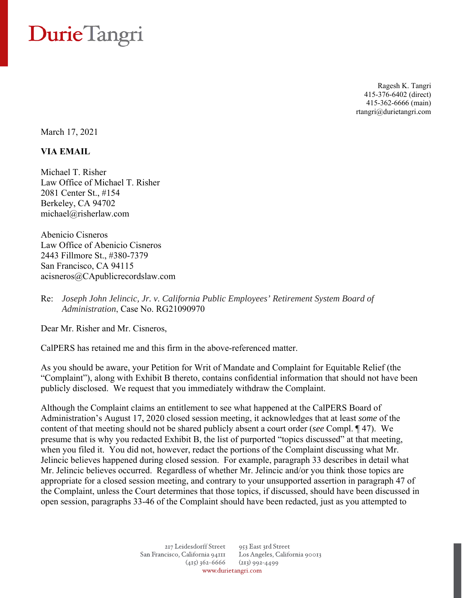## Durie Tangri

Ragesh K. Tangri 415-376-6402 (direct) 415-362-6666 (main) rtangri@durietangri.com

March 17, 2021

## **VIA EMAIL**

Michael T. Risher Law Office of Michael T. Risher 2081 Center St., #154 Berkeley, CA 94702 michael@risherlaw.com

Abenicio Cisneros Law Office of Abenicio Cisneros 2443 Fillmore St., #380-7379 San Francisco, CA 94115 acisneros@CApublicrecordslaw.com

Re: *Joseph John Jelincic, Jr. v. California Public Employees' Retirement System Board of Administration*, Case No. RG21090970

Dear Mr. Risher and Mr. Cisneros,

CalPERS has retained me and this firm in the above-referenced matter.

As you should be aware, your Petition for Writ of Mandate and Complaint for Equitable Relief (the "Complaint"), along with Exhibit B thereto, contains confidential information that should not have been publicly disclosed. We request that you immediately withdraw the Complaint.

Although the Complaint claims an entitlement to see what happened at the CalPERS Board of Administration's August 17, 2020 closed session meeting, it acknowledges that at least *some* of the content of that meeting should not be shared publicly absent a court order (*see* Compl. ¶ 47). We presume that is why you redacted Exhibit B, the list of purported "topics discussed" at that meeting, when you filed it. You did not, however, redact the portions of the Complaint discussing what Mr. Jelincic believes happened during closed session. For example, paragraph 33 describes in detail what Mr. Jelincic believes occurred. Regardless of whether Mr. Jelincic and/or you think those topics are appropriate for a closed session meeting, and contrary to your unsupported assertion in paragraph 47 of the Complaint, unless the Court determines that those topics, if discussed, should have been discussed in open session, paragraphs 33-46 of the Complaint should have been redacted, just as you attempted to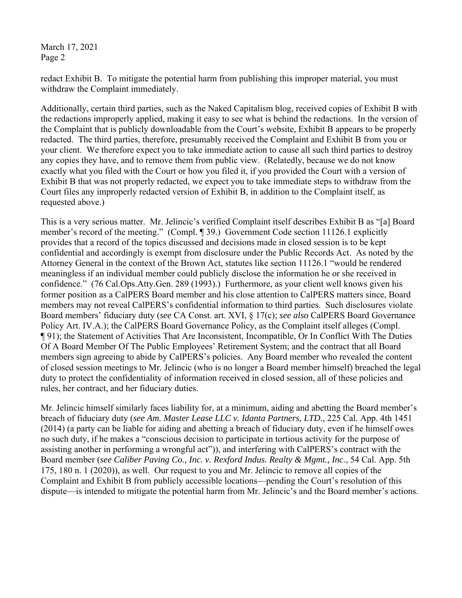March 17, 2021 Page 2

redact Exhibit B. To mitigate the potential harm from publishing this improper material, you must withdraw the Complaint immediately.

Additionally, certain third parties, such as the Naked Capitalism blog, received copies of Exhibit B with the redactions improperly applied, making it easy to see what is behind the redactions. In the version of the Complaint that is publicly downloadable from the Court's website, Exhibit B appears to be properly redacted. The third parties, therefore, presumably received the Complaint and Exhibit B from you or your client. We therefore expect you to take immediate action to cause all such third parties to destroy any copies they have, and to remove them from public view. (Relatedly, because we do not know exactly what you filed with the Court or how you filed it, if you provided the Court with a version of Exhibit B that was not properly redacted, we expect you to take immediate steps to withdraw from the Court files any improperly redacted version of Exhibit B, in addition to the Complaint itself, as requested above.)

This is a very serious matter. Mr. Jelincic's verified Complaint itself describes Exhibit B as "[a] Board member's record of the meeting." (Compl. ¶ 39.) Government Code section 11126.1 explicitly provides that a record of the topics discussed and decisions made in closed session is to be kept confidential and accordingly is exempt from disclosure under the Public Records Act. As noted by the Attorney General in the context of the Brown Act, statutes like section 11126.1 "would be rendered meaningless if an individual member could publicly disclose the information he or she received in confidence." (76 Cal.Ops.Atty.Gen. 289 (1993).) Furthermore, as your client well knows given his former position as a CalPERS Board member and his close attention to CalPERS matters since, Board members may not reveal CalPERS's confidential information to third parties. Such disclosures violate Board members' fiduciary duty (*see* CA Const. art. XVI, § 17(c); *see also* CalPERS Board Governance Policy Art. IV.A.); the CalPERS Board Governance Policy, as the Complaint itself alleges (Compl. ¶ 91); the Statement of Activities That Are Inconsistent, Incompatible, Or In Conflict With The Duties Of A Board Member Of The Public Employees' Retirement System; and the contract that all Board members sign agreeing to abide by CalPERS's policies. Any Board member who revealed the content of closed session meetings to Mr. Jelincic (who is no longer a Board member himself) breached the legal duty to protect the confidentiality of information received in closed session, all of these policies and rules, her contract, and her fiduciary duties.

Mr. Jelincic himself similarly faces liability for, at a minimum, aiding and abetting the Board member's breach of fiduciary duty (*see Am. Master Lease LLC v. Idanta Partners, LTD.*, 225 Cal. App. 4th 1451 (2014) (a party can be liable for aiding and abetting a breach of fiduciary duty, even if he himself owes no such duty, if he makes a "conscious decision to participate in tortious activity for the purpose of assisting another in performing a wrongful act")), and interfering with CalPERS's contract with the Board member (*see Caliber Paving Co., Inc. v. Rexford Indus. Realty & Mgmt., Inc*., 54 Cal. App. 5th 175, 180 n. 1 (2020)), as well. Our request to you and Mr. Jelincic to remove all copies of the Complaint and Exhibit B from publicly accessible locations—pending the Court's resolution of this dispute—is intended to mitigate the potential harm from Mr. Jelincic's and the Board member's actions.